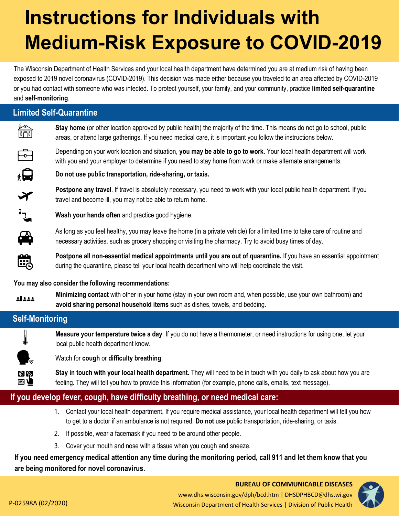# **Instructions for Individuals with Medium-Risk Exposure to COVID-2019**

The Wisconsin Department of Health Services and your local health department have determined you are at medium risk of having been exposed to 2019 novel coronavirus (COVID-2019). This decision was made either because you traveled to an area affected by COVID-2019 or you had contact with someone who was infected. To protect yourself, your family, and your community, practice **limited self-quarantine**  and **self-monitoring**.

|        | <b>Limited Self-Quarantine</b>                                                                                                                                                                                                              |
|--------|---------------------------------------------------------------------------------------------------------------------------------------------------------------------------------------------------------------------------------------------|
| ĥ      | Stay home (or other location approved by public health) the majority of the time. This means do not go to school, public<br>areas, or attend large gatherings. If you need medical care, it is important you follow the instructions below. |
| م<br>ا | Depending on your work location and situation, you may be able to go to work. Your local health department will work<br>with you and your employer to determine if you need to stay home from work or make alternate arrangements.          |
| 白      | Do not use public transportation, ride-sharing, or taxis.                                                                                                                                                                                   |
|        | Postpone any travel. If travel is absolutely necessary, you need to work with your local public health department. If you<br>travel and become ill, you may not be able to return home.                                                     |
| ╶╶     | Wash your hands often and practice good hygiene.                                                                                                                                                                                            |
| ♠      | As long as you feel healthy, you may leave the home (in a private vehicle) for a limited time to take care of routine and<br>necessary activities, such as grocery shopping or visiting the pharmacy. Try to avoid busy times of day.       |
| Ë      | Postpone all non-essential medical appointments until you are out of quarantine. If you have an essential appointment<br>during the quarantine, please tell your local health department who will help coordinate the visit.                |

#### **You may also consider the following recommendations:**

**Minimizing contact** with other in your home (stay in your own room and, when possible, use your own bathroom) and 11111 **avoid sharing personal household items** such as dishes, towels, and bedding.

## **Self-Monitoring**



**Measure your temperature twice a day**. If you do not have a thermometer, or need instructions for using one, let your local public health department know.

Watch for **cough** or **difficulty breathing**.

**Stay in touch with your local health department.** They will need to be in touch with you daily to ask about how you are feeling. They will tell you how to provide this information (for example, phone calls, emails, text message).

## **If you develop fever, cough, have difficulty breathing, or need medical care:**

- 1. Contact your local health department. If you require medical assistance, your local health department will tell you how to get to a doctor if an ambulance is not required. **Do not** use public transportation, ride-sharing, or taxis.
- 2. If possible, wear a facemask if you need to be around other people.
- 3. Cover your mouth and nose with a tissue when you cough and sneeze.

**If you need emergency medical attention any time during the monitoring period, call 911 and let them know that you are being monitored for novel coronavirus.**

#### **BUREAU OF COMMUNICABLE DISEASES**  www.dhs.wisconsin.gov/dph/bcd.htm | DHSDPHBCD@dhs.wi.gov P-02598A (02/2020) 2008 2012 2009 Wisconsin Department of Health Services | Division of Public Health